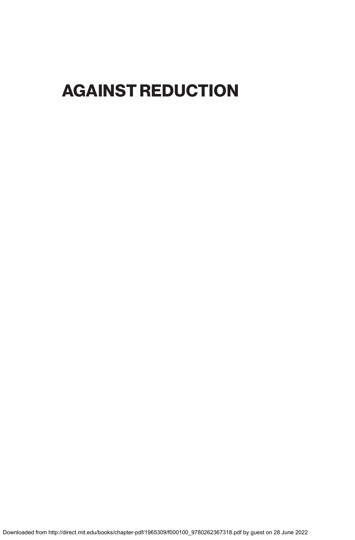# AGAINST REDUCTION

Downloaded from http://direct.mit.edu/books/chapter-pdf/1965309/f000100\_9780262367318.pdf by guest on 28 June 2022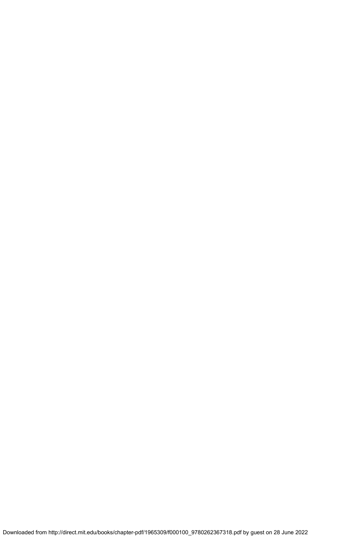Downloaded from http://direct.mit.edu/books/chapter-pdf/1965309/f000100\_9780262367318.pdf by guest on 28 June 2022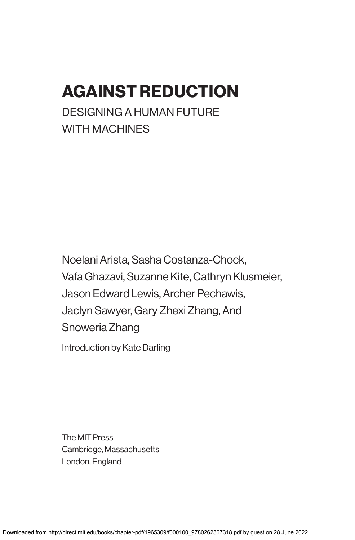# AGAINST REDUCTION

### DESIGNING A HUMAN FUTURE WITH MACHINES

Noelani Arista, Sasha Costanza-Chock, Vafa Ghazavi, Suzanne Kite, Cathryn Klusmeier, Jason Edward Lewis, Archer Pechawis, Jaclyn Sawyer, Gary Zhexi Zhang, And Snoweria Zhang Introduction by Kate Darling

The MIT Press Cambridge, Massachusetts London, England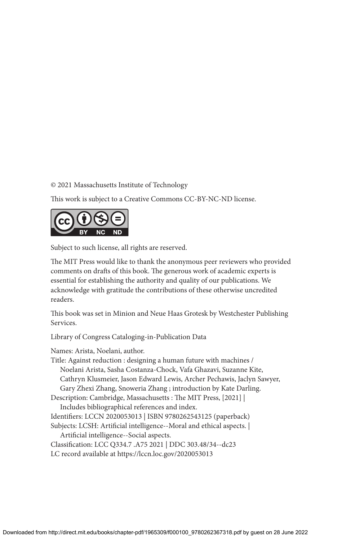© 2021 Massachusetts Institute of Technology

This work is subject to a Creative Commons CC-BY-NC-ND license.



Subject to such license, all rights are reserved.

The MIT Press would like to thank the anonymous peer reviewers who provided comments on drafts of this book. The generous work of academic experts is essential for establishing the authority and quality of our publications. We acknowledge with gratitude the contributions of these otherwise uncredited readers.

This book was set in Minion and Neue Haas Grotesk by Westchester Publishing Services.

Library of Congress Cataloging-in-Publication Data

Names: Arista, Noelani, author.

Title: Against reduction : designing a human future with machines / Noelani Arista, Sasha Costanza-Chock, Vafa Ghazavi, Suzanne Kite, Cathryn Klusmeier, Jason Edward Lewis, Archer Pechawis, Jaclyn Sawyer, Gary Zhexi Zhang, Snoweria Zhang ; introduction by Kate Darling. Description: Cambridge, Massachusetts : The MIT Press, [2021] | Includes bibliographical references and index. Identifiers: LCCN 2020053013 | ISBN 9780262543125 (paperback) Subjects: LCSH: Artificial intelligence--Moral and ethical aspects. | Artificial intelligence--Social aspects. Classification: LCC Q334.7 .A75 2021 | DDC 303.48/34--dc23 LC record available at<https://lccn.loc.gov/2020053013>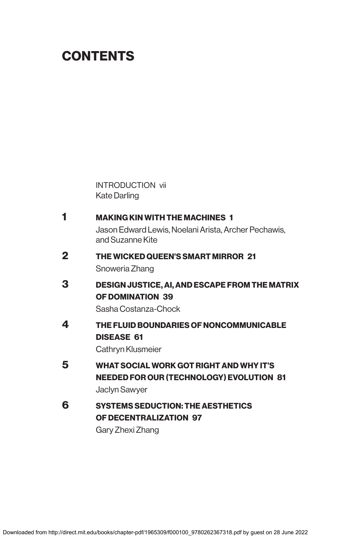### **CONTENTS**

[INTRODUCTION vii](#page--1-0) Kate Darling

[1](#page--1-0) MAKING KIN WITH THE MACHINES 1 [Jason Edward Lewis, Noelani Arista, Archer Pechawis,](#page--1-0)  and Suzanne Kite [2](#page--1-0) [THE WICKED QUEEN'S SMART MIRROR 21](#page--1-0) Snoweria Zhang [3](#page--1-0) [DESIGN JUSTICE, AI, AND ESCAPE FROM THE MATRIX](#page--1-0)  OF DOMINATION 39 [Sasha Costanza-Chock](#page--1-0) [4](#page--1-0) [THE FLUID BOUNDARIES OF NONCOMMUNICABLE](#page--1-0) DISEASE 61 [Cathryn Klusmeier](#page--1-0) [5](#page--1-0) [WHAT SOCIAL WORK GOT RIGHT AND WHY IT'S](#page--1-0) [NEEDED FOR OUR \(TECHNOLOGY\) EVOLUTION 81](#page--1-0) Jaclyn Sawyer 6 [SYSTEMS SEDUCTION: THE AESTHETICS](#page--1-0)  OF DECENTRALIZATION 97

Gary Zhexi Zhang